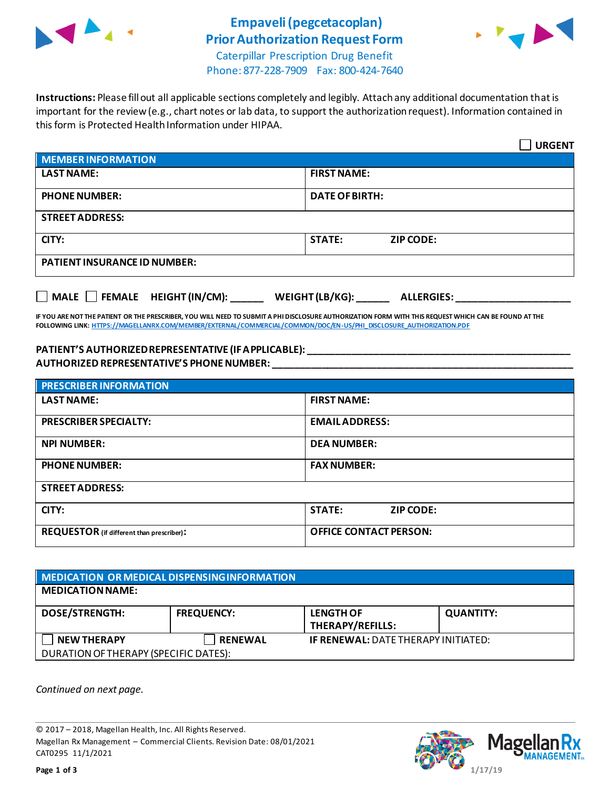

## **Empaveli (pegcetacoplan) Prior Authorization Request Form**



Caterpillar Prescription Drug Benefit Phone: 877-228-7909 Fax: 800-424-7640

**Instructions:** Please fill out all applicable sections completely and legibly. Attach any additional documentation that is important for the review (e.g., chart notes or lab data, to support the authorization request). Information contained in this form is Protected Health Information under HIPAA.

|                                                               | <b>URGENT</b>                     |  |  |
|---------------------------------------------------------------|-----------------------------------|--|--|
| MEMBER INFORMATION                                            |                                   |  |  |
| <b>LAST NAME:</b>                                             | <b>FIRST NAME:</b>                |  |  |
| <b>PHONE NUMBER:</b>                                          | <b>DATE OF BIRTH:</b>             |  |  |
| <b>STREET ADDRESS:</b>                                        |                                   |  |  |
| CITY:                                                         | <b>STATE:</b><br><b>ZIP CODE:</b> |  |  |
| <b>PATIENT INSURANCE ID NUMBER:</b>                           |                                   |  |  |
| MALE FEMALE HEIGHT (IN/CM): WEIGHT (LB/KG): ______ ALLERGIES: |                                   |  |  |

**IF YOU ARE NOT THE PATIENT OR THE PRESCRIBER, YOU WILL NEED TO SUBMIT A PHI DISCLOSURE AUTHORIZATION FORM WITH THIS REQUEST WHICH CAN BE FOUND AT THE FOLLOWING LINK[: HTTPS://MAGELLANRX.COM/MEMBER/EXTERNAL/COMMERCIAL/COMMON/DOC/EN-US/PHI\\_DISCLOSURE\\_AUTHORIZATION.PDF](https://magellanrx.com/member/external/commercial/common/doc/en-us/PHI_Disclosure_Authorization.pdf)**

## **PATIENT'S AUTHORIZED REPRESENTATIVE (IF APPLICABLE): \_\_\_\_\_\_\_\_\_\_\_\_\_\_\_\_\_\_\_\_\_\_\_\_\_\_\_\_\_\_\_\_\_\_\_\_\_\_\_\_\_\_\_\_\_\_\_\_ AUTHORIZED REPRESENTATIVE'S PHONE NUMBER: \_\_\_\_\_\_\_\_\_\_\_\_\_\_\_\_\_\_\_\_\_\_\_\_\_\_\_\_\_\_\_\_\_\_\_\_\_\_\_\_\_\_\_\_\_\_\_\_\_\_\_\_\_\_\_**

| <b>PRESCRIBER INFORMATION</b>             |                               |  |
|-------------------------------------------|-------------------------------|--|
| <b>LAST NAME:</b>                         | <b>FIRST NAME:</b>            |  |
| <b>PRESCRIBER SPECIALTY:</b>              | <b>EMAIL ADDRESS:</b>         |  |
| <b>NPI NUMBER:</b>                        | <b>DEA NUMBER:</b>            |  |
| <b>PHONE NUMBER:</b>                      | <b>FAX NUMBER:</b>            |  |
| <b>STREET ADDRESS:</b>                    |                               |  |
| CITY:                                     | <b>STATE:</b><br>ZIP CODE:    |  |
| REQUESTOR (if different than prescriber): | <b>OFFICE CONTACT PERSON:</b> |  |

| MEDICATION OR MEDICAL DISPENSING INFORMATION |                   |                                            |                  |  |  |
|----------------------------------------------|-------------------|--------------------------------------------|------------------|--|--|
| <b>MEDICATION NAME:</b>                      |                   |                                            |                  |  |  |
| <b>DOSE/STRENGTH:</b>                        | <b>FREQUENCY:</b> | <b>LENGTH OF</b><br>THERAPY/REFILLS:       | <b>QUANTITY:</b> |  |  |
| <b>NEW THERAPY</b>                           | <b>RENEWAL</b>    | <b>IF RENEWAL: DATE THERAPY INITIATED:</b> |                  |  |  |
| DURATION OF THERAPY (SPECIFIC DATES):        |                   |                                            |                  |  |  |

*Continued on next page.*

© 2017 – 2018, Magellan Health, Inc. All Rights Reserved. Magellan Rx Management – Commercial Clients. Revision Date: 08/01/2021 CAT0295 11/1/2021

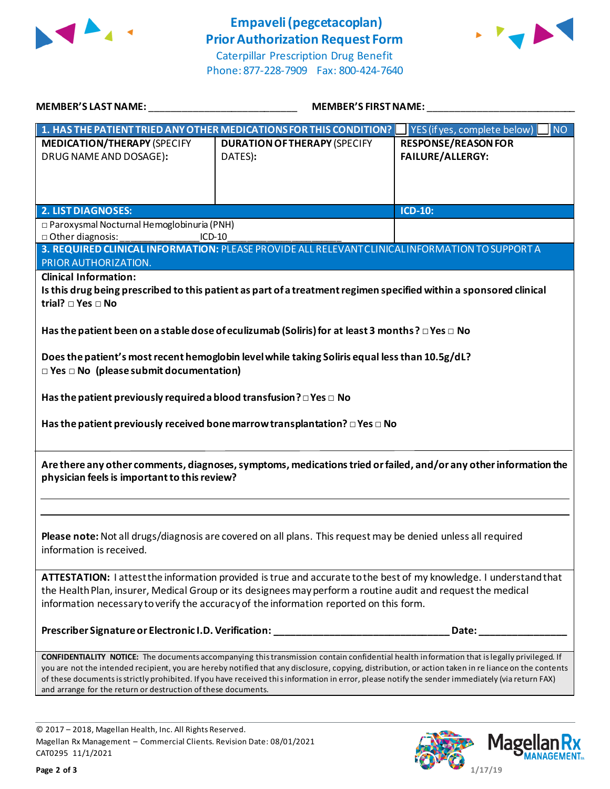



Caterpillar Prescription Drug Benefit Phone: 877-228-7909 Fax: 800-424-7640

| <b>MEMBER'S LAST NAME:</b>                                                                                                                                                                                                                                                                                                                                                                                                                                                                                               | <b>MEMBER'S FIRST NAME:</b><br><u> 1989 - Johann Harry Harry Harry Harry Harry Harry Harry Harry Harry Harry Harry Harry Harry Harry Harry Harry</u> |                                                       |  |  |
|--------------------------------------------------------------------------------------------------------------------------------------------------------------------------------------------------------------------------------------------------------------------------------------------------------------------------------------------------------------------------------------------------------------------------------------------------------------------------------------------------------------------------|------------------------------------------------------------------------------------------------------------------------------------------------------|-------------------------------------------------------|--|--|
|                                                                                                                                                                                                                                                                                                                                                                                                                                                                                                                          | 1. HAS THE PATIENT TRIED ANY OTHER MEDICATIONS FOR THIS CONDITION?                                                                                   | YES (if yes, complete below)<br><b>NO</b>             |  |  |
| <b>MEDICATION/THERAPY (SPECIFY</b><br>DRUG NAME AND DOSAGE):                                                                                                                                                                                                                                                                                                                                                                                                                                                             | <b>DURATION OF THERAPY (SPECIFY</b><br>DATES):                                                                                                       | <b>RESPONSE/REASON FOR</b><br><b>FAILURE/ALLERGY:</b> |  |  |
| <b>2. LIST DIAGNOSES:</b>                                                                                                                                                                                                                                                                                                                                                                                                                                                                                                |                                                                                                                                                      | ICD-10:                                               |  |  |
| □ Paroxysmal Nocturnal Hemoglobinuria (PNH)<br>□ Other diagnosis:<br>$ICD-10$<br>3. REQUIRED CLINICAL INFORMATION: PLEASE PROVIDE ALL RELEVANT CLINICAL INFORMATION TO SUPPORT A                                                                                                                                                                                                                                                                                                                                         |                                                                                                                                                      |                                                       |  |  |
| PRIOR AUTHORIZATION.<br><b>Clinical Information:</b><br>Is this drug being prescribed to this patient as part of a treatment regimen specified within a sponsored clinical<br>trial? □ Yes □ No<br>Has the patient been on a stable dose of eculizumab (Soliris) for at least 3 months ? $\Box$ Yes $\Box$ No<br>Does the patient's most recent hemoglobin level while taking Soliris equal less than 10.5g/dL?<br>$\Box$ Yes $\Box$ No (please submit documentation)                                                    |                                                                                                                                                      |                                                       |  |  |
| Has the patient previously required a blood transfusion ? $\Box$ Yes $\Box$ No<br>Has the patient previously received bone marrow transplantation? $\square$ Yes $\square$ No                                                                                                                                                                                                                                                                                                                                            |                                                                                                                                                      |                                                       |  |  |
| Are there any other comments, diagnoses, symptoms, medications tried or failed, and/or any other information the<br>physician feels is important to this review?                                                                                                                                                                                                                                                                                                                                                         |                                                                                                                                                      |                                                       |  |  |
| Please note: Not all drugs/diagnosis are covered on all plans. This request may be denied unless all required<br>information is received.                                                                                                                                                                                                                                                                                                                                                                                |                                                                                                                                                      |                                                       |  |  |
| ATTESTATION: I attest the information provided is true and accurate to the best of my knowledge. I understand that<br>the Health Plan, insurer, Medical Group or its designees may perform a routine audit and request the medical<br>information necessary to verify the accuracy of the information reported on this form.                                                                                                                                                                                             |                                                                                                                                                      |                                                       |  |  |
|                                                                                                                                                                                                                                                                                                                                                                                                                                                                                                                          | Prescriber Signature or Electronic I.D. Verification: __________________________                                                                     | Date:                                                 |  |  |
| CONFIDENTIALITY NOTICE: The documents accompanying this transmission contain confidential health information that is legally privileged. If<br>you are not the intended recipient, you are hereby notified that any disclosure, copying, distribution, or action taken in re liance on the contents<br>of these documents is strictly prohibited. If you have received this information in error, please notify the sender immediately (via return FAX)<br>and arrange for the return or destruction of these documents. |                                                                                                                                                      |                                                       |  |  |

© 2017 – 2018, Magellan Health, Inc. All Rights Reserved. Magellan Rx Management – Commercial Clients. Revision Date: 08/01/2021 CAT0295 11/1/2021